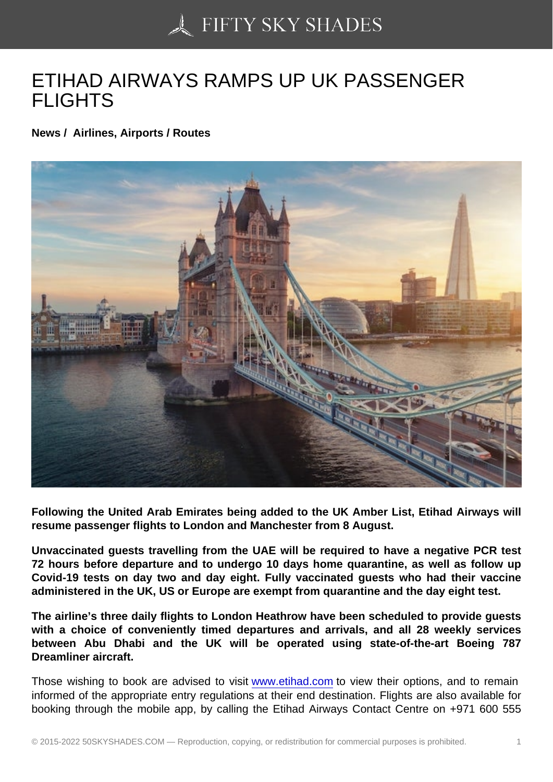## [ETIHAD AIRWAYS RA](https://50skyshades.com)MPS UP UK PASSENGER FLIGHTS

News / Airlines, Airports / Routes

Following the United Arab Emirates being added to the UK Amber List, Etihad Airways will resume passenger flights to London and Manchester from 8 August.

Unvaccinated guests travelling from the UAE will be required to have a negative PCR test 72 hours before departure and to undergo 10 days home quarantine, as well as follow up Covid-19 tests on day two and day eight. Fully vaccinated guests who had their vaccine administered in the UK, US or Europe are exempt from quarantine and the day eight test.

The airline's three daily flights to London Heathrow have been scheduled to provide guests with a choice of conveniently timed departures and arrivals, and all 28 weekly services between Abu Dhabi and the UK will be operated using state-of-the-art Boeing 787 Dreamliner aircraft.

Those wishing to book are advised to visit www.etihad.com to view their options, and to remain informed of the appropriate entry regulations at their end destination. Flights are also available for booking through the mobile app, by calling the Etihad Airways Contact Centre on +971 600 555